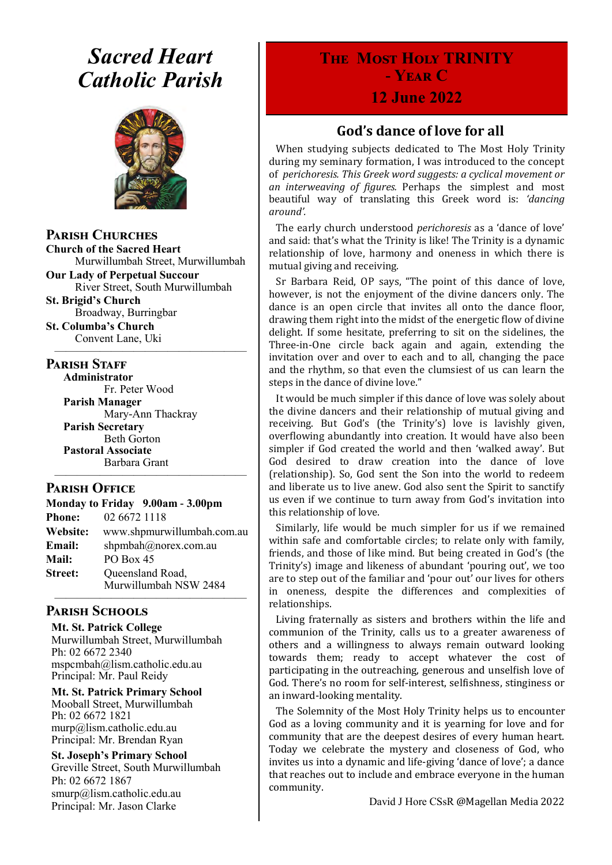# *Sacred Heart Catholic Parish*



**Parish Churches**

**Church of the Sacred Heart** Murwillumbah Street, Murwillumbah

**Our Lady of Perpetual Succour** River Street, South Murwillumbah

**St. Brigid's Church** Broadway, Burringbar **St. Columba's Church**

Convent Lane, Uki —————————————————

#### **PARISH STAFF**

**Administrator** Fr. Peter Wood **Parish Manager** Mary-Ann Thackray **Parish Secretary** Beth Gorton **Pastoral Associate**

Barbara Grant —————————————————

#### **Parish Office**

**Monday to Friday 9.00am - 3.00pm Phone:** 02 6672 1118 **Website:** www.shpmurwillumbah.com.au **Email:** shpmbah@norex.com.au **Mail:** PO Box 45 **Street:** Oueensland Road, Murwillumbah NSW 2484

#### ————————————————— **Parish Schools**

**Mt. St. Patrick College** Murwillumbah Street, Murwillumbah Ph: 02 6672 2340 mspcmbah@lism.catholic.edu.au Principal: Mr. Paul Reidy

**Mt. St. Patrick Primary School** Mooball Street, Murwillumbah Ph: 02 6672 1821 murp@lism.catholic.edu.au Principal: Mr. Brendan Ryan

**St. Joseph's Primary School** Greville Street, South Murwillumbah Ph: 02 6672 1867 smurp@lism.catholic.edu.au Principal: Mr. Jason Clarke

# **The Most Holy TRINITY - Year C**

### **12 June 2022**

### **God's dance of love for all**

When studying subjects dedicated to The Most Holy Trinity during my seminary formation, I was introduced to the concept of *perichoresis. This Greek word suggests: a cyclical movement or an interweaving of figures.* Perhaps the simplest and most beautiful way of translating this Greek word is: *'dancing around'.*

The early church understood *perichoresis* as a 'dance of love' and said: that's what the Trinity is like! The Trinity is a dynamic relationship of love, harmony and oneness in which there is mutual giving and receiving.

Sr Barbara Reid, OP says, "The point of this dance of love, however, is not the enjoyment of the divine dancers only. The dance is an open circle that invites all onto the dance floor, drawing them right into the midst of the energetic flow of divine delight. If some hesitate, preferring to sit on the sidelines, the Three-in-One circle back again and again, extending the invitation over and over to each and to all, changing the pace and the rhythm, so that even the clumsiest of us can learn the steps in the dance of divine love."

It would be much simpler if this dance of love was solely about the divine dancers and their relationship of mutual giving and receiving. But God's (the Trinity's) love is lavishly given, overflowing abundantly into creation. It would have also been simpler if God created the world and then 'walked away'. But God desired to draw creation into the dance of love (relationship). So, God sent the Son into the world to redeem and liberate us to live anew. God also sent the Spirit to sanctify us even if we continue to turn away from God's invitation into this relationship of love.

Similarly, life would be much simpler for us if we remained within safe and comfortable circles; to relate only with family, friends, and those of like mind. But being created in God's (the Trinity's) image and likeness of abundant 'pouring out', we too are to step out of the familiar and 'pour out' our lives for others in oneness, despite the differences and complexities of relationships.

Living fraternally as sisters and brothers within the life and communion of the Trinity, calls us to a greater awareness of others and a willingness to always remain outward looking towards them; ready to accept whatever the cost of participating in the outreaching, generous and unselfish love of God. There's no room for self-interest, selfishness, stinginess or an inward-looking mentality.

The Solemnity of the Most Holy Trinity helps us to encounter God as a loving community and it is yearning for love and for community that are the deepest desires of every human heart. Today we celebrate the mystery and closeness of God, who invites us into a dynamic and life-giving 'dance of love'; a dance that reaches out to include and embrace everyone in the human community.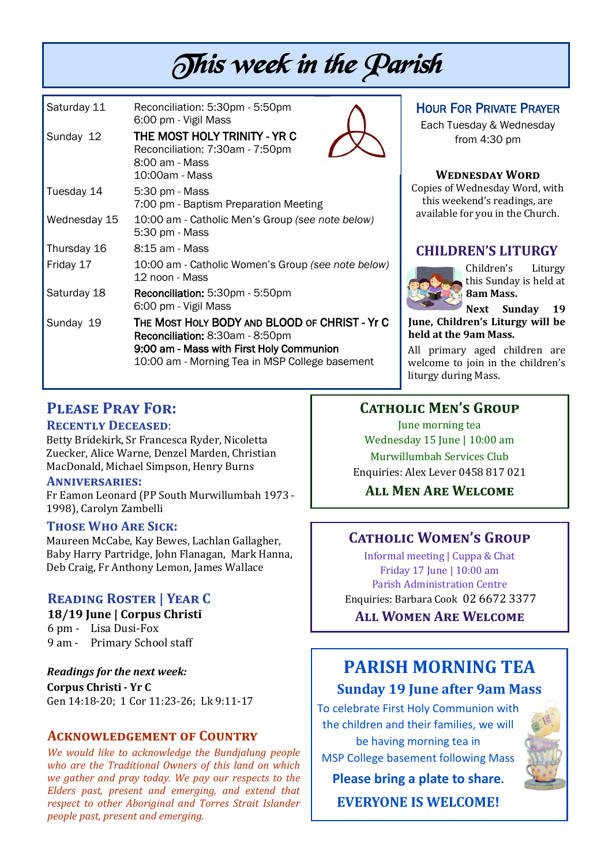# This week in the Parish

| Saturday 11  | Reconciliation: 5:30pm - 5:50pm<br>6:00 pm - Vigil Mass                                                                                                                        |
|--------------|--------------------------------------------------------------------------------------------------------------------------------------------------------------------------------|
| Sunday 12    | THE MOST HOLY TRINITY - YR C<br>Reconciliation: 7:30am - 7:50pm<br>8:00 am - Mass<br>10:00am - Mass                                                                            |
| Tuesday 14   | 5:30 pm - Mass<br>7:00 pm - Baptism Preparation Meeting                                                                                                                        |
| Wednesday 15 | 10:00 am - Catholic Men's Group (see note below)<br>5:30 pm - Mass                                                                                                             |
| Thursday 16  | 8:15 am - Mass                                                                                                                                                                 |
| Friday 17    | 10:00 am - Catholic Women's Group (see note below)<br>12 noon - Mass                                                                                                           |
| Saturday 18  | Reconciliation: 5:30pm - 5:50pm<br>6:00 pm - Vigil Mass                                                                                                                        |
| Sunday 19    | THE MOST HOLY BODY AND BLOOD OF CHRIST - Yr C<br>Reconciliation: 8:30am - 8:50pm<br>9:00 am - Mass with First Holy Communion<br>10:00 am - Morning Tea in MSP College basement |

### HOUR FOR PRIVATE PRAYER

Each Tuesday & Wednesday from 4:30 pm

#### **Wednesday Word**

Copies of Wednesday Word, with this weekend's readings, are available for you in the Church.

### **CHILDREN'S LITURGY**



Children's Liturgy this Sunday is held at **8am Mass.** 

**Next Sunday 19 June, Children's Liturgy will be held at the 9am Mass.** 

All primary aged children are welcome to join in the children's liturgy during Mass.

### **Please Pray For:**

### **Recently Deceased**:

Betty Bridekirk, Sr Francesca Ryder, Nicoletta Zuecker, Alice Warne, Denzel Marden, Christian MacDonald, Michael Simpson, Henry Burns

#### **Anniversaries:**

Fr Eamon Leonard (PP South Murwillumbah 1973 - 1998), Carolyn Zambelli

#### **Those Who Are Sick:**

Maureen McCabe, Kay Bewes, Lachlan Gallagher, Baby Harry Partridge, John Flanagan, Mark Hanna, Deb Craig, Fr Anthony Lemon, James Wallace

### **Reading Roster | Year C**

#### **18/19 June | Corpus Christi**

6 pm - Lisa Dusi-Fox 9 am - Primary School staff

*Readings for the next week:*  **Corpus Christi - Yr C**  Gen 14:18-20; 1 Cor 11:23-26; Lk 9:11-17

### **Acknowledgement of Country**

*We would like to acknowledge the Bundjalung people who are the Traditional Owners of this land on which we gather and pray today. We pay our respects to the Elders past, present and emerging, and extend that respect to other Aboriginal and Torres Strait Islander people past, present and emerging.* 

### **Catholic Men's Group**

June morning tea Wednesday 15 June | 10:00 am Murwillumbah Services Club Enquiries: Alex Lever 0458 817 021

**All Men Are Welcome**

### **Catholic Women's Group**

Informal meeting | Cuppa & Chat Friday 17 June | 10:00 am Parish Administration Centre Enquiries: Barbara Cook 02 6672 3377

**All Women Are Welcome**

## **PARISH MORNING TEA Sunday 19 June after 9am Mass**

To celebrate First Holy Communion with the children and their families, we will be having morning tea in MSP College basement following Mass

**Please bring a plate to share.**

**EVERYONE IS WELCOME!**

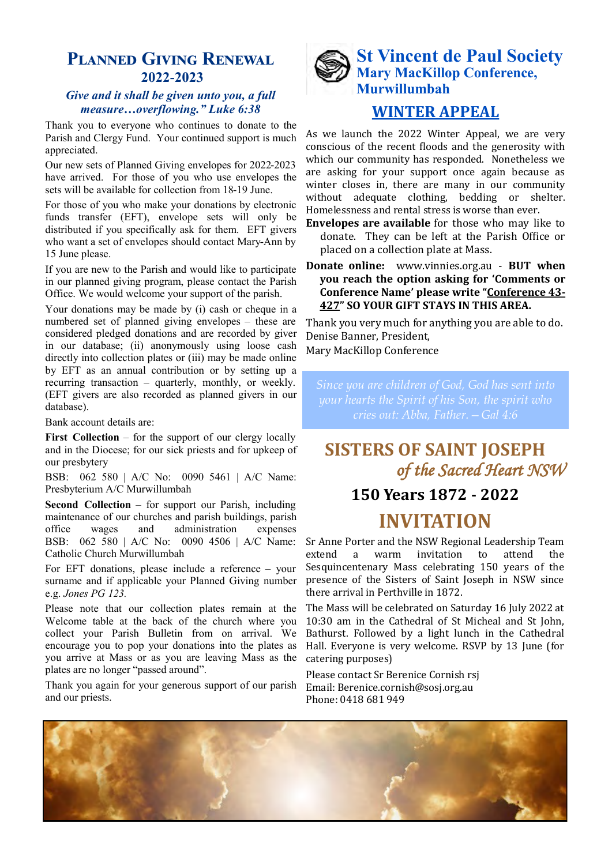### **Planned Giving Renewal 2022-2023**

#### *Give and it shall be given unto you, a full measure…overflowing." Luke 6:38*

Thank you to everyone who continues to donate to the Parish and Clergy Fund. Your continued support is much appreciated.

Our new sets of Planned Giving envelopes for 2022-2023 have arrived. For those of you who use envelopes the sets will be available for collection from 18-19 June.

For those of you who make your donations by electronic funds transfer (EFT), envelope sets will only be distributed if you specifically ask for them. EFT givers who want a set of envelopes should contact Mary-Ann by 15 June please.

If you are new to the Parish and would like to participate in our planned giving program, please contact the Parish Office. We would welcome your support of the parish.

Your donations may be made by (i) cash or cheque in a numbered set of planned giving envelopes – these are considered pledged donations and are recorded by giver in our database; (ii) anonymously using loose cash directly into collection plates or (iii) may be made online by EFT as an annual contribution or by setting up a recurring transaction – quarterly, monthly, or weekly. (EFT givers are also recorded as planned givers in our database).

Bank account details are:

First Collection – for the support of our clergy locally and in the Diocese; for our sick priests and for upkeep of our presbytery

BSB: 062 580 | A/C No: 0090 5461 | A/C Name: Presbyterium A/C Murwillumbah

**Second Collection** – for support our Parish, including maintenance of our churches and parish buildings, parish office wages and administration expenses BSB: 062 580 | A/C No: 0090 4506 | A/C Name: Catholic Church Murwillumbah

For EFT donations, please include a reference – your surname and if applicable your Planned Giving number e.g. *Jones PG 123.*

Please note that our collection plates remain at the Welcome table at the back of the church where you collect your Parish Bulletin from on arrival. We encourage you to pop your donations into the plates as you arrive at Mass or as you are leaving Mass as the plates are no longer "passed around".

Thank you again for your generous support of our parish and our priests.



### **WINTER APPEAL**

As we launch the 2022 Winter Appeal, we are very conscious of the recent floods and the generosity with which our community has responded. Nonetheless we are asking for your support once again because as winter closes in, there are many in our community without adequate clothing, bedding or shelter. Homelessness and rental stress is worse than ever.

- **Envelopes are available** for those who may like to donate. They can be left at the Parish Office or placed on a collection plate at Mass.
- **Donate online:** [www.vinnies.org.au](http://www.vinnies.org.au) **BUT when you reach the option asking for 'Comments or Conference Name' please write "Conference 43- 427" SO YOUR GIFT STAYS IN THIS AREA.**

Thank you very much for anything you are able to do. Denise Banner, President, Mary MacKillop Conference

*Since you are children of God, God has sent into your hearts the Spirit of his Son, the spirit who* 

### **SISTERS OF SAINT JOSEPH** *of the Sacred Heart NSW*

### **150 Years 1872 - 2022**

### **INVITATION**

Sr Anne Porter and the NSW Regional Leadership Team extend a warm invitation to attend the Sesquincentenary Mass celebrating 150 years of the presence of the Sisters of Saint Joseph in NSW since there arrival in Perthville in 1872.

The Mass will be celebrated on Saturday 16 July 2022 at 10:30 am in the Cathedral of St Micheal and St John, Bathurst. Followed by a light lunch in the Cathedral Hall. Everyone is very welcome. RSVP by 13 June (for catering purposes)

Please contact Sr Berenice Cornish rsj Email: Berenice.cornish@sosj.org.au Phone: 0418 681 949